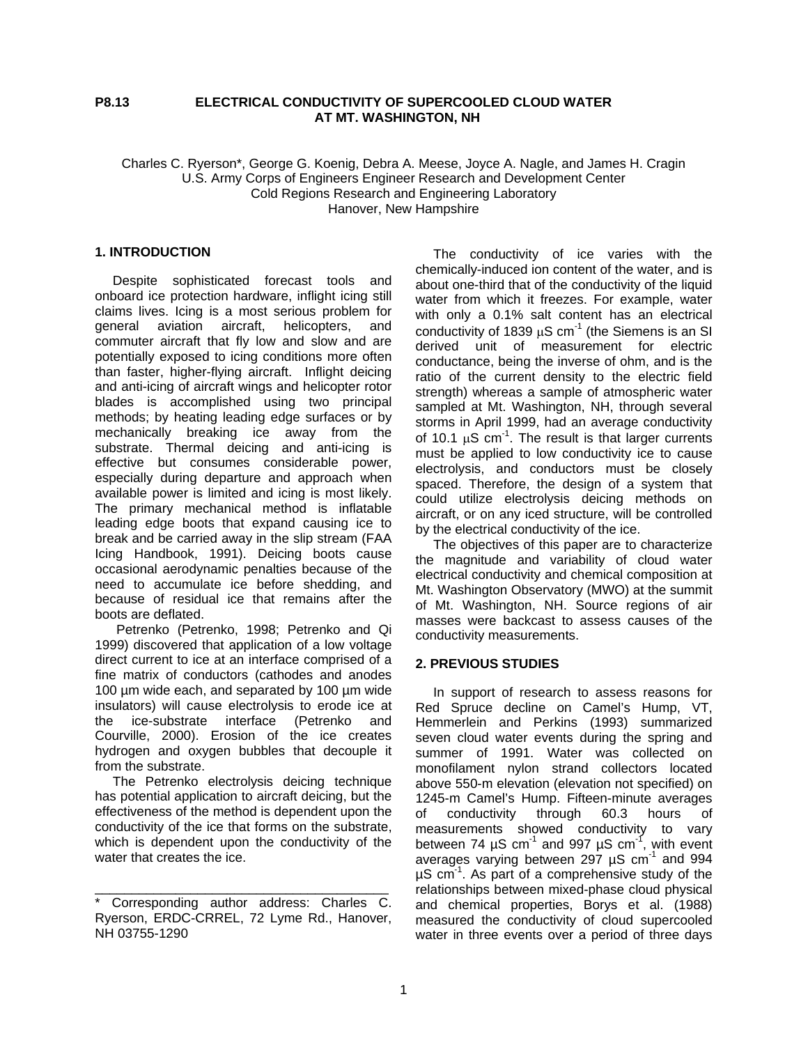## **P8.13 ELECTRICAL CONDUCTIVITY OF SUPERCOOLED CLOUD WATER AT MT. WASHINGTON, NH**

### Charles C. Ryerson\*, George G. Koenig, Debra A. Meese, Joyce A. Nagle, and James H. Cragin U.S. Army Corps of Engineers Engineer Research and Development Center Cold Regions Research and Engineering Laboratory Hanover, New Hampshire

#### **1. INTRODUCTION**

Despite sophisticated forecast tools and onboard ice protection hardware, inflight icing still claims lives. Icing is a most serious problem for general aviation aircraft, helicopters, and commuter aircraft that fly low and slow and are potentially exposed to icing conditions more often than faster, higher-flying aircraft. Inflight deicing and anti-icing of aircraft wings and helicopter rotor blades is accomplished using two principal methods; by heating leading edge surfaces or by mechanically breaking ice away from the substrate. Thermal deicing and anti-icing is effective but consumes considerable power, especially during departure and approach when available power is limited and icing is most likely. The primary mechanical method is inflatable leading edge boots that expand causing ice to break and be carried away in the slip stream (FAA Icing Handbook, 1991). Deicing boots cause occasional aerodynamic penalties because of the need to accumulate ice before shedding, and because of residual ice that remains after the boots are deflated.

Petrenko (Petrenko, 1998; Petrenko and Qi 1999) discovered that application of a low voltage direct current to ice at an interface comprised of a fine matrix of conductors (cathodes and anodes 100 µm wide each, and separated by 100 µm wide insulators) will cause electrolysis to erode ice at the ice-substrate interface (Petrenko and Courville, 2000). Erosion of the ice creates hydrogen and oxygen bubbles that decouple it from the substrate.

The Petrenko electrolysis deicing technique has potential application to aircraft deicing, but the effectiveness of the method is dependent upon the conductivity of the ice that forms on the substrate, which is dependent upon the conductivity of the water that creates the ice.

\_\_\_\_\_\_\_\_\_\_\_\_\_\_\_\_\_\_\_\_\_\_\_\_\_\_\_\_\_\_\_\_\_\_\_\_\_\_\_\_

The conductivity of ice varies with the chemically-induced ion content of the water, and is about one-third that of the conductivity of the liquid water from which it freezes. For example, water with only a 0.1% salt content has an electrical conductivity of 1839  $\mu$ S cm<sup>-1</sup> (the Siemens is an SI derived unit of measurement for electric conductance, being the inverse of ohm, and is the ratio of the current density to the electric field strength) whereas a sample of atmospheric water sampled at Mt. Washington, NH, through several storms in April 1999, had an average conductivity of 10.1  $\mu$ S cm<sup>-1</sup>. The result is that larger currents must be applied to low conductivity ice to cause electrolysis, and conductors must be closely spaced. Therefore, the design of a system that could utilize electrolysis deicing methods on aircraft, or on any iced structure, will be controlled by the electrical conductivity of the ice.

The objectives of this paper are to characterize the magnitude and variability of cloud water electrical conductivity and chemical composition at Mt. Washington Observatory (MWO) at the summit of Mt. Washington, NH. Source regions of air masses were backcast to assess causes of the conductivity measurements.

### **2. PREVIOUS STUDIES**

In support of research to assess reasons for Red Spruce decline on Camel's Hump, VT, Hemmerlein and Perkins (1993) summarized seven cloud water events during the spring and summer of 1991. Water was collected on monofilament nylon strand collectors located above 550-m elevation (elevation not specified) on 1245-m Camel's Hump. Fifteen-minute averages of conductivity through 60.3 hours of measurements showed conductivity to vary between 74  $\mu$ S cm<sup>-1</sup> and 997  $\mu$ S cm<sup>-1</sup>, with event averages varying between 297  $\mu$ S cm<sup>-1</sup> and 994  $\mu$ S cm<sup>-1</sup>. As part of a comprehensive study of the relationships between mixed-phase cloud physical and chemical properties, Borys et al. (1988) measured the conductivity of cloud supercooled water in three events over a period of three days

Corresponding author address: Charles C. Ryerson, ERDC-CRREL, 72 Lyme Rd., Hanover, NH 03755-1290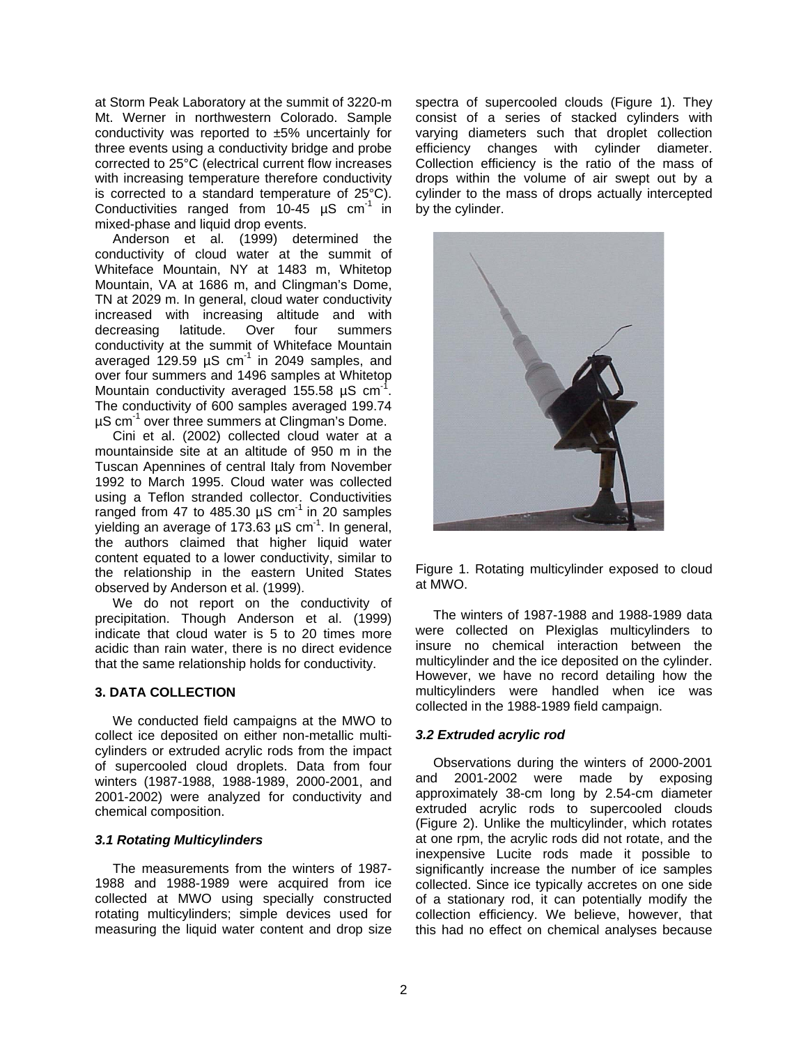at Storm Peak Laboratory at the summit of 3220-m Mt. Werner in northwestern Colorado. Sample conductivity was reported to ±5% uncertainly for three events using a conductivity bridge and probe corrected to 25°C (electrical current flow increases with increasing temperature therefore conductivity is corrected to a standard temperature of 25°C). Conductivities ranged from  $10-45$   $\mu$ S cm<sup>-1</sup> in mixed-phase and liquid drop events.

Anderson et al. (1999) determined the conductivity of cloud water at the summit of Whiteface Mountain, NY at 1483 m, Whitetop Mountain, VA at 1686 m, and Clingman's Dome, TN at 2029 m. In general, cloud water conductivity increased with increasing altitude and with decreasing latitude. Over four summers conductivity at the summit of Whiteface Mountain averaged 129.59  $\mu$ S cm<sup>-1</sup> in 2049 samples, and over four summers and 1496 samples at Whitetop Mountain conductivity averaged 155.58  $\mu$ S cm<sup>-1</sup>. The conductivity of 600 samples averaged 199.74  $\mu$ S cm<sup>-1</sup> over three summers at Clingman's Dome.

Cini et al. (2002) collected cloud water at a mountainside site at an altitude of 950 m in the Tuscan Apennines of central Italy from November 1992 to March 1995. Cloud water was collected using a Teflon stranded collector. Conductivities ranged from 47 to 485.30  $\mu$ S cm<sup>-1</sup> in 20 samples yielding an average of 173.63  $\mu$ S cm<sup>-1</sup>. In general, the authors claimed that higher liquid water content equated to a lower conductivity, similar to the relationship in the eastern United States observed by Anderson et al. (1999).

We do not report on the conductivity of precipitation. Though Anderson et al. (1999) indicate that cloud water is 5 to 20 times more acidic than rain water, there is no direct evidence that the same relationship holds for conductivity.

# **3. DATA COLLECTION**

We conducted field campaigns at the MWO to collect ice deposited on either non-metallic multicylinders or extruded acrylic rods from the impact of supercooled cloud droplets. Data from four winters (1987-1988, 1988-1989, 2000-2001, and 2001-2002) were analyzed for conductivity and chemical composition.

### *3.1 Rotating Multicylinders*

The measurements from the winters of 1987- 1988 and 1988-1989 were acquired from ice collected at MWO using specially constructed rotating multicylinders; simple devices used for measuring the liquid water content and drop size

spectra of supercooled clouds (Figure 1). They consist of a series of stacked cylinders with varying diameters such that droplet collection efficiency changes with cylinder diameter. Collection efficiency is the ratio of the mass of drops within the volume of air swept out by a cylinder to the mass of drops actually intercepted by the cylinder.



Figure 1. Rotating multicylinder exposed to cloud at MWO.

The winters of 1987-1988 and 1988-1989 data were collected on Plexiglas multicylinders to insure no chemical interaction between the multicylinder and the ice deposited on the cylinder. However, we have no record detailing how the multicylinders were handled when ice was collected in the 1988-1989 field campaign.

### *3.2 Extruded acrylic rod*

Observations during the winters of 2000-2001 and 2001-2002 were made by exposing approximately 38-cm long by 2.54-cm diameter extruded acrylic rods to supercooled clouds (Figure 2). Unlike the multicylinder, which rotates at one rpm, the acrylic rods did not rotate, and the inexpensive Lucite rods made it possible to significantly increase the number of ice samples collected. Since ice typically accretes on one side of a stationary rod, it can potentially modify the collection efficiency. We believe, however, that this had no effect on chemical analyses because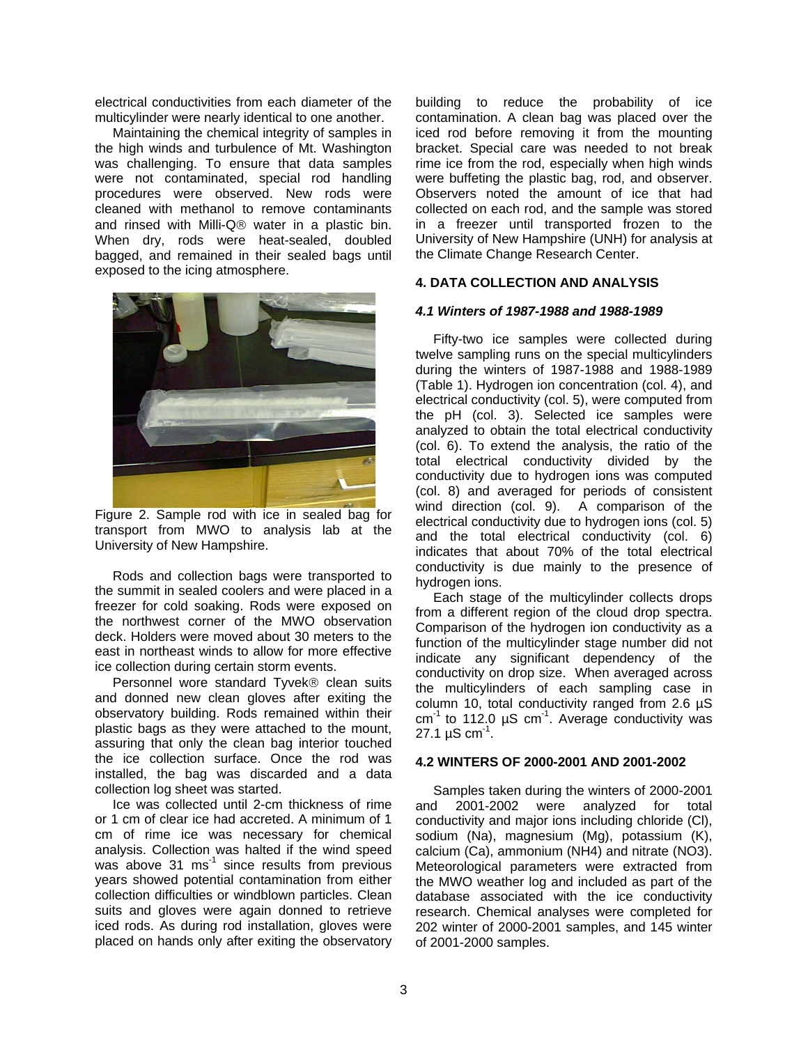electrical conductivities from each diameter of the multicylinder were nearly identical to one another.

Maintaining the chemical integrity of samples in the high winds and turbulence of Mt. Washington was challenging. To ensure that data samples were not contaminated, special rod handling procedures were observed. New rods were cleaned with methanol to remove contaminants and rinsed with Milli-Q® water in a plastic bin. When dry, rods were heat-sealed, doubled bagged, and remained in their sealed bags until exposed to the icing atmosphere.



Figure 2. Sample rod with ice in sealed bag for transport from MWO to analysis lab at the University of New Hampshire.

Rods and collection bags were transported to the summit in sealed coolers and were placed in a freezer for cold soaking. Rods were exposed on the northwest corner of the MWO observation deck. Holders were moved about 30 meters to the east in northeast winds to allow for more effective ice collection during certain storm events.

Personnel wore standard Tyvek® clean suits and donned new clean gloves after exiting the observatory building. Rods remained within their plastic bags as they were attached to the mount, assuring that only the clean bag interior touched the ice collection surface. Once the rod was installed, the bag was discarded and a data collection log sheet was started.

Ice was collected until 2-cm thickness of rime or 1 cm of clear ice had accreted. A minimum of 1 cm of rime ice was necessary for chemical analysis. Collection was halted if the wind speed was above 31 ms $<sup>-1</sup>$  since results from previous</sup> years showed potential contamination from either collection difficulties or windblown particles. Clean suits and gloves were again donned to retrieve iced rods. As during rod installation, gloves were placed on hands only after exiting the observatory building to reduce the probability of ice contamination. A clean bag was placed over the iced rod before removing it from the mounting bracket. Special care was needed to not break rime ice from the rod, especially when high winds were buffeting the plastic bag, rod, and observer. Observers noted the amount of ice that had collected on each rod, and the sample was stored in a freezer until transported frozen to the University of New Hampshire (UNH) for analysis at the Climate Change Research Center.

## **4. DATA COLLECTION AND ANALYSIS**

### *4.1 Winters of 1987-1988 and 1988-1989*

Fifty-two ice samples were collected during twelve sampling runs on the special multicylinders during the winters of 1987-1988 and 1988-1989 (Table 1). Hydrogen ion concentration (col. 4), and electrical conductivity (col. 5), were computed from the pH (col. 3). Selected ice samples were analyzed to obtain the total electrical conductivity (col. 6). To extend the analysis, the ratio of the total electrical conductivity divided by the conductivity due to hydrogen ions was computed (col. 8) and averaged for periods of consistent wind direction (col. 9). A comparison of the electrical conductivity due to hydrogen ions (col. 5) and the total electrical conductivity (col. 6) indicates that about 70% of the total electrical conductivity is due mainly to the presence of hydrogen ions.

Each stage of the multicylinder collects drops from a different region of the cloud drop spectra. Comparison of the hydrogen ion conductivity as a function of the multicylinder stage number did not indicate any significant dependency of the conductivity on drop size. When averaged across the multicylinders of each sampling case in column 10, total conductivity ranged from 2.6 µS  $cm<sup>-1</sup>$  to 112.0 µS cm<sup>-1</sup>. Average conductivity was 27.1  $\mu$ S cm<sup>-1</sup>.

#### **4.2 WINTERS OF 2000-2001 AND 2001-2002**

Samples taken during the winters of 2000-2001 and 2001-2002 were analyzed for total conductivity and major ions including chloride (Cl), sodium (Na), magnesium (Mg), potassium (K), calcium (Ca), ammonium (NH4) and nitrate (NO3). Meteorological parameters were extracted from the MWO weather log and included as part of the database associated with the ice conductivity research. Chemical analyses were completed for 202 winter of 2000-2001 samples, and 145 winter of 2001-2000 samples.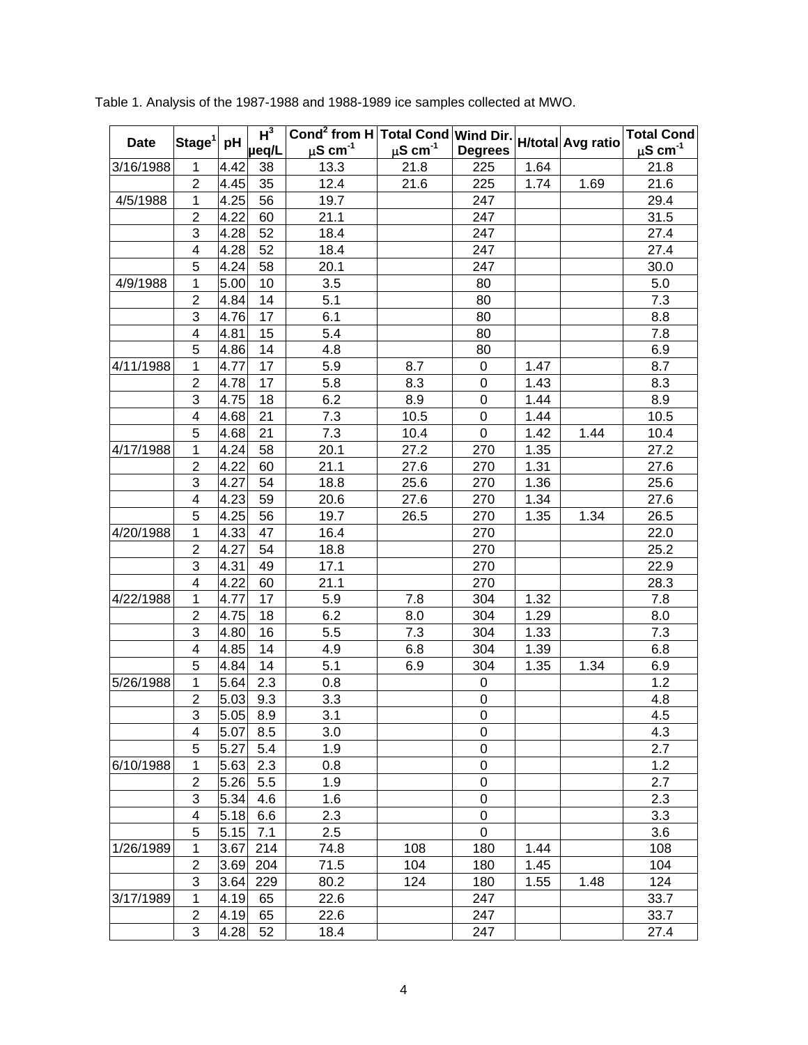|             | $ \mathsf{Stage}^1 $ | pH   | $\overline{\text{Cond}^2}$ from H Total Cond Wind Dir.<br>$H^3$ |                    |                    |                  |      |                   | <b>Total Cond</b>  |
|-------------|----------------------|------|-----------------------------------------------------------------|--------------------|--------------------|------------------|------|-------------------|--------------------|
| <b>Date</b> |                      |      | µeq/L                                                           | $\mu$ S cm $^{-1}$ | $\mu$ S cm $^{-1}$ | <b>Degrees</b>   |      | H/total Avg ratio | $\mu$ S cm $^{-1}$ |
| 3/16/1988   | 1                    | 4.42 | 38                                                              | 13.3               | 21.8               | 225              | 1.64 |                   | 21.8               |
|             | $\overline{2}$       | 4.45 | 35                                                              | 12.4               | 21.6               | 225              | 1.74 | 1.69              | 21.6               |
| 4/5/1988    | 1                    | 4.25 | 56                                                              | 19.7               |                    | 247              |      |                   | 29.4               |
|             | $\overline{2}$       | 4.22 | 60                                                              | 21.1               |                    | 247              |      |                   | 31.5               |
|             | 3                    | 4.28 | 52                                                              | 18.4               |                    | 247              |      |                   | 27.4               |
|             | 4                    | 4.28 | 52                                                              | 18.4               |                    | 247              |      |                   | 27.4               |
|             | 5                    | 4.24 | 58                                                              | 20.1               |                    | 247              |      |                   | 30.0               |
| 4/9/1988    | 1                    | 5.00 | 10                                                              | 3.5                |                    | 80               |      |                   | 5.0                |
|             | $\overline{2}$       | 4.84 | 14                                                              | 5.1                |                    | 80               |      |                   | 7.3                |
|             | 3                    | 4.76 | 17                                                              | 6.1                |                    | 80               |      |                   | 8.8                |
|             | 4                    | 4.81 | 15                                                              | 5.4                |                    | 80               |      |                   | 7.8                |
|             | 5                    | 4.86 | 14                                                              | 4.8                |                    | 80               |      |                   | 6.9                |
| 4/11/1988   | 1                    | 4.77 | 17                                                              | 5.9                | 8.7                | $\mathbf 0$      | 1.47 |                   | 8.7                |
|             | $\overline{2}$       | 4.78 | 17                                                              | 5.8                | 8.3                | 0                | 1.43 |                   | 8.3                |
|             | 3                    | 4.75 | 18                                                              | 6.2                | 8.9                | $\mathbf 0$      | 1.44 |                   | 8.9                |
|             | 4                    | 4.68 | 21                                                              | 7.3                | 10.5               | 0                | 1.44 |                   | 10.5               |
|             | 5                    | 4.68 | 21                                                              | 7.3                | 10.4               | $\mathbf 0$      | 1.42 | 1.44              | 10.4               |
| 4/17/1988   | 1                    | 4.24 | 58                                                              | 20.1               | 27.2               | 270              | 1.35 |                   | 27.2               |
|             | $\overline{2}$       | 4.22 | 60                                                              | 21.1               | 27.6               | 270              | 1.31 |                   | 27.6               |
|             | 3                    | 4.27 | 54                                                              | 18.8               | 25.6               | 270              | 1.36 |                   | 25.6               |
|             | 4                    | 4.23 | 59                                                              | 20.6               | 27.6               | 270              | 1.34 |                   | 27.6               |
|             | 5                    | 4.25 | 56                                                              | 19.7               | 26.5               | 270              | 1.35 | 1.34              | 26.5               |
| 4/20/1988   | 1                    | 4.33 | 47                                                              | 16.4               |                    | 270              |      |                   | 22.0               |
|             | $\overline{2}$       | 4.27 | 54                                                              | 18.8               |                    | 270              |      |                   | 25.2               |
|             | 3                    | 4.31 | 49                                                              | 17.1               |                    | 270              |      |                   | 22.9               |
|             | 4                    | 4.22 | 60                                                              | 21.1               |                    | 270              |      |                   | 28.3               |
| 4/22/1988   | 1                    | 4.77 | 17                                                              | 5.9                | 7.8                | 304              | 1.32 |                   | 7.8                |
|             | $\overline{2}$       | 4.75 | 18                                                              | 6.2                | 8.0                | 304              | 1.29 |                   | 8.0                |
|             | 3                    | 4.80 | 16                                                              | 5.5                | 7.3                | 304              | 1.33 |                   | 7.3                |
|             | 4                    | 4.85 | 14                                                              | 4.9                | 6.8                | 304              | 1.39 |                   | 6.8                |
|             | 5                    | 4.84 | 14                                                              | 5.1                | 6.9                | 304              | 1.35 | 1.34              | 6.9                |
| 5/26/1988   | 1                    | 5.64 | 2.3                                                             | 0.8                |                    | $\pmb{0}$        |      |                   | 1.2                |
|             | $\overline{2}$       | 5.03 | 9.3                                                             | 3.3                |                    | $\boldsymbol{0}$ |      |                   | 4.8                |
|             | 3                    | 5.05 | 8.9                                                             | 3.1                |                    | $\mathbf 0$      |      |                   | 4.5                |
|             | 4                    | 5.07 | 8.5                                                             | 3.0                |                    | 0                |      |                   | 4.3                |
|             | 5                    | 5.27 | 5.4                                                             | 1.9                |                    | 0                |      |                   | 2.7                |
| 6/10/1988   | 1                    | 5.63 | 2.3                                                             | 0.8                |                    | $\mathsf 0$      |      |                   | 1.2                |
|             | $\overline{2}$       | 5.26 | 5.5                                                             | 1.9                |                    | $\pmb{0}$        |      |                   | 2.7                |
|             | 3                    | 5.34 | 4.6                                                             | 1.6                |                    | 0                |      |                   | 2.3                |
|             | 4                    | 5.18 | 6.6                                                             | 2.3                |                    | 0                |      |                   | 3.3                |
|             | 5                    | 5.15 | 7.1                                                             | 2.5                |                    | 0                |      |                   | 3.6                |
| 1/26/1989   | 1                    | 3.67 | 214                                                             | 74.8               | 108                | 180              | 1.44 |                   | 108                |
|             | $\overline{2}$       | 3.69 | 204                                                             | 71.5               | 104                | 180              | 1.45 |                   | 104                |
|             | 3                    | 3.64 | 229                                                             | 80.2               | 124                | 180              | 1.55 | 1.48              | 124                |
| 3/17/1989   | 1                    | 4.19 | 65                                                              | 22.6               |                    | 247              |      |                   | 33.7               |
|             | $\overline{2}$       | 4.19 | 65                                                              | 22.6               |                    | 247              |      |                   | 33.7               |
|             | 3                    | 4.28 | 52                                                              | 18.4               |                    | 247              |      |                   | 27.4               |

Table 1. Analysis of the 1987-1988 and 1988-1989 ice samples collected at MWO.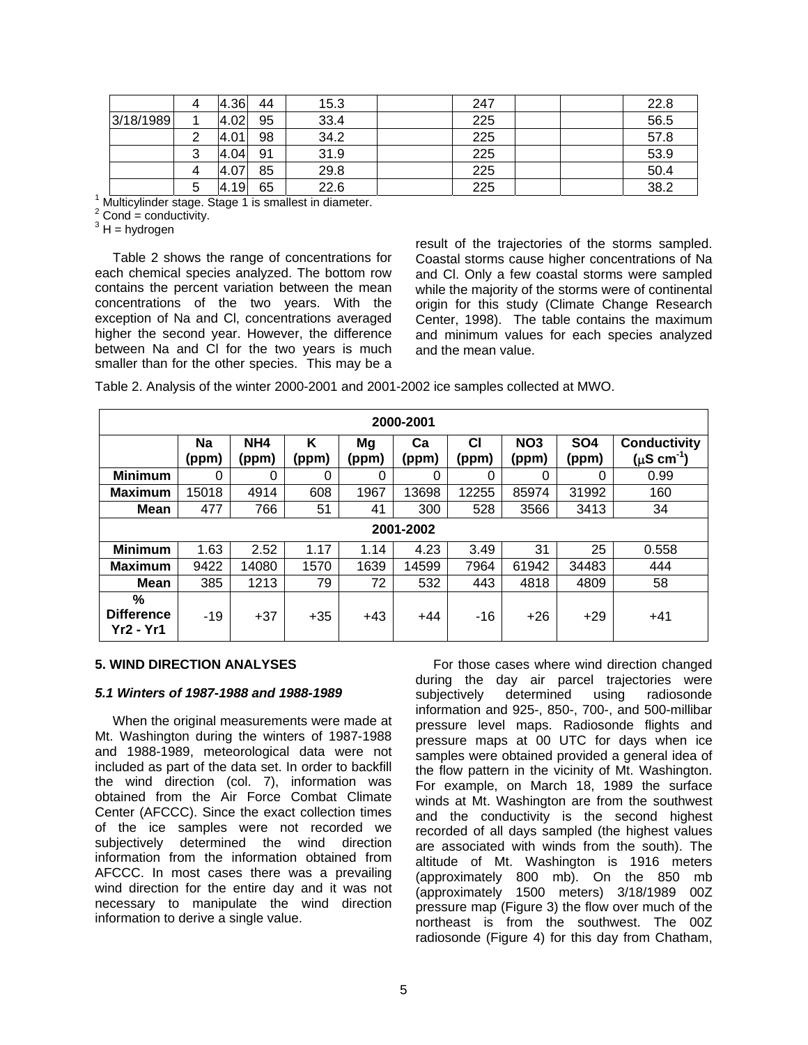| 4 | 4.36 | 44 | 15.3 | 247 | 22.8 |
|---|------|----|------|-----|------|
|   | 4.02 | 95 | 33.4 | 225 | 56.5 |
|   | 4.01 | 98 | 34.2 | 225 | 57.8 |
| 3 | 4.04 | 91 | 31.9 | 225 | 53.9 |
|   | 4.07 | 85 | 29.8 | 225 | 50.4 |
| 5 | 4.19 | 65 | 22.6 | 225 | 38.2 |
|   |      |    |      |     |      |

<sup>1</sup> Multicylinder stage. Stage 1 is smallest in diameter.<br><sup>2</sup> Cand - senduativity

 $2$  Cond = conductivity.

 $3H =$  hydrogen

Table 2 shows the range of concentrations for each chemical species analyzed. The bottom row contains the percent variation between the mean concentrations of the two years. With the exception of Na and Cl, concentrations averaged higher the second year. However, the difference between Na and Cl for the two years is much smaller than for the other species. This may be a

result of the trajectories of the storms sampled. Coastal storms cause higher concentrations of Na and Cl. Only a few coastal storms were sampled while the majority of the storms were of continental origin for this study (Climate Change Research Center, 1998). The table contains the maximum and minimum values for each species analyzed and the mean value.

Table 2. Analysis of the winter 2000-2001 and 2001-2002 ice samples collected at MWO.

| 2000-2001                           |             |                          |            |             |             |             |                          |                          |                                                     |  |  |  |
|-------------------------------------|-------------|--------------------------|------------|-------------|-------------|-------------|--------------------------|--------------------------|-----------------------------------------------------|--|--|--|
|                                     | Na<br>(ppm) | NH <sub>4</sub><br>(ppm) | K<br>(ppm) | Mg<br>(ppm) | Ca<br>(ppm) | CI<br>(ppm) | NO <sub>3</sub><br>(ppm) | SO <sub>4</sub><br>(ppm) | <b>Conductivity</b><br>( $\mu$ S cm <sup>-1</sup> ) |  |  |  |
| <b>Minimum</b>                      | 0           | 0                        | 0          | 0           | 0           | 0           | 0                        | 0                        | 0.99                                                |  |  |  |
| <b>Maximum</b>                      | 5018        | 4914                     | 608        | 1967        | 13698       | 12255       | 85974                    | 31992                    | 160                                                 |  |  |  |
| <b>Mean</b>                         | 477         | 766                      | 51         | 41          | 300         | 528         | 3566                     | 3413                     | 34                                                  |  |  |  |
|                                     | 2001-2002   |                          |            |             |             |             |                          |                          |                                                     |  |  |  |
| <b>Minimum</b>                      | 1.63        | 2.52                     | 1.17       | 1.14        | 4.23        | 3.49        | 31                       | 25                       | 0.558                                               |  |  |  |
| <b>Maximum</b>                      | 9422        | 14080                    | 1570       | 1639        | 14599       | 7964        | 61942                    | 34483                    | 444                                                 |  |  |  |
| Mean                                | 385         | 1213                     | 79         | 72          | 532         | 443         | 4818                     | 4809                     | 58                                                  |  |  |  |
| %<br><b>Difference</b><br>Yr2 - Yr1 | $-19$       | $+37$                    | $+35$      | $+43$       | $+44$       | $-16$       | $+26$                    | $+29$                    | $+41$                                               |  |  |  |

#### **5. WIND DIRECTION ANALYSES**

#### *5.1 Winters of 1987-1988 and 1988-1989*

When the original measurements were made at Mt. Washington during the winters of 1987-1988 and 1988-1989, meteorological data were not included as part of the data set. In order to backfill the wind direction (col. 7), information was obtained from the Air Force Combat Climate Center (AFCCC). Since the exact collection times of the ice samples were not recorded we subjectively determined the wind direction information from the information obtained from AFCCC. In most cases there was a prevailing wind direction for the entire day and it was not necessary to manipulate the wind direction information to derive a single value.

For those cases where wind direction changed during the day air parcel trajectories were subjectively determined using radiosonde information and 925-, 850-, 700-, and 500-millibar pressure level maps. Radiosonde flights and pressure maps at 00 UTC for days when ice samples were obtained provided a general idea of the flow pattern in the vicinity of Mt. Washington. For example, on March 18, 1989 the surface winds at Mt. Washington are from the southwest and the conductivity is the second highest recorded of all days sampled (the highest values are associated with winds from the south). The altitude of Mt. Washington is 1916 meters (approximately 800 mb). On the 850 mb (approximately 1500 meters) 3/18/1989 00Z pressure map (Figure 3) the flow over much of the northeast is from the southwest. The 00Z radiosonde (Figure 4) for this day from Chatham,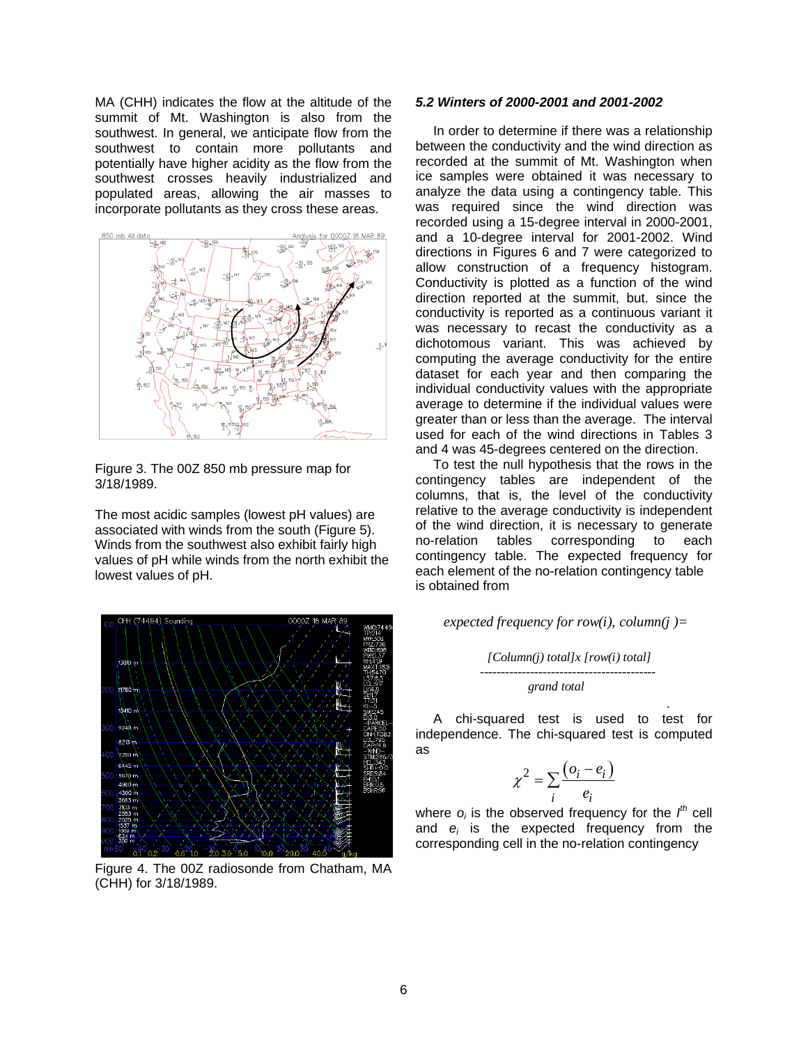MA (CHH) indicates the flow at the altitude of the summit of Mt. Washington is also from the southwest. In general, we anticipate flow from the southwest to contain more pollutants and potentially have higher acidity as the flow from the southwest crosses heavily industrialized and populated areas, allowing the air masses to incorporate pollutants as they cross these areas.



Figure 3. The 00Z 850 mb pressure map for 3/18/1989.

The most acidic samples (lowest pH values) are associated with winds from the south (Figure 5). Winds from the southwest also exhibit fairly high values of pH while winds from the north exhibit the lowest values of pH.



Figure 4. The 00Z radiosonde from Chatham, MA (CHH) for 3/18/1989.

## *5.2 Winters of 2000-2001 and 2001-2002*

In order to determine if there was a relationship between the conductivity and the wind direction as recorded at the summit of Mt. Washington when ice samples were obtained it was necessary to analyze the data using a contingency table. This was required since the wind direction was recorded using a 15-degree interval in 2000-2001, and a 10-degree interval for 2001-2002. Wind directions in Figures 6 and 7 were categorized to allow construction of a frequency histogram. Conductivity is plotted as a function of the wind direction reported at the summit, but. since the conductivity is reported as a continuous variant it was necessary to recast the conductivity as a dichotomous variant. This was achieved by computing the average conductivity for the entire dataset for each year and then comparing the individual conductivity values with the appropriate average to determine if the individual values were greater than or less than the average. The interval used for each of the wind directions in Tables 3 and 4 was 45-degrees centered on the direction.

To test the null hypothesis that the rows in the contingency tables are independent of the columns, that is, the level of the conductivity relative to the average conductivity is independent of the wind direction, it is necessary to generate no-relation tables corresponding to each contingency table. The expected frequency for each element of the no-relation contingency table is obtained from

#### *expected frequency for row(i), column(j)=*

 *[Column(j) total]x [row(i) total] ----------------------------------------- grand total*

. A chi-squared test is used to test for independence. The chi-squared test is computed as

$$
\chi^2 = \sum_i \frac{(o_i - e_i)}{e_i}
$$

where  $o_i$  is the observed frequency for the  $I<sup>th</sup>$  cell and *ei* is the expected frequency from the corresponding cell in the no-relation contingency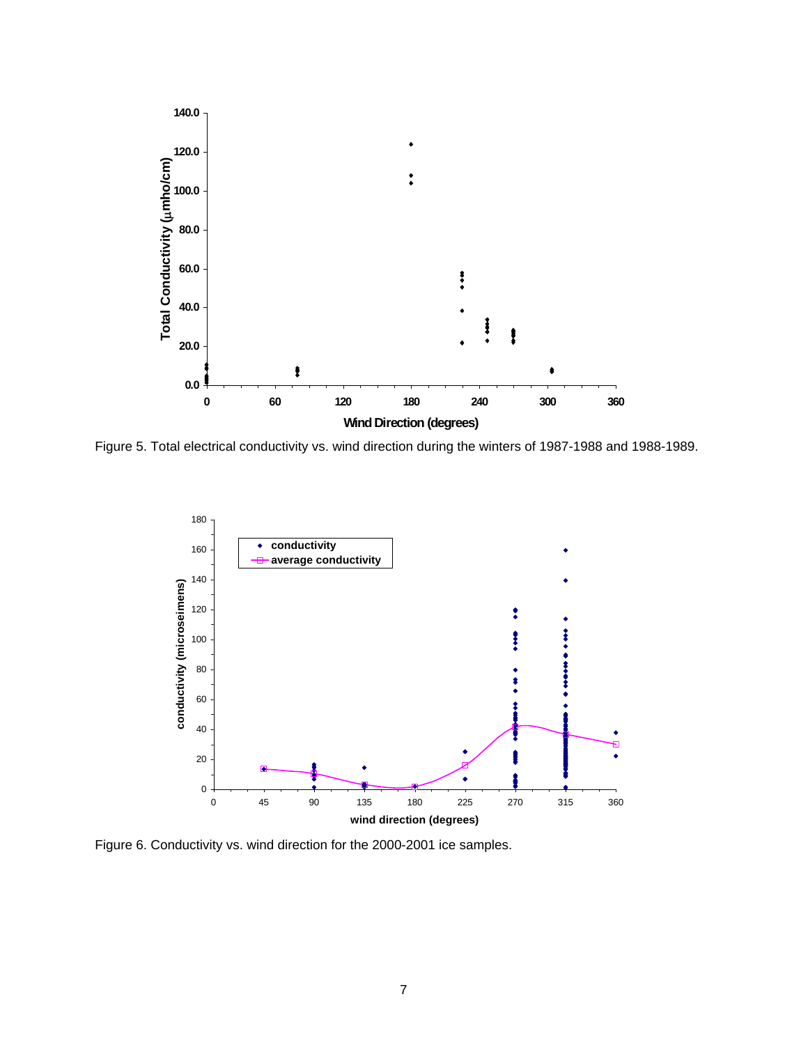

Figure 5. Total electrical conductivity vs. wind direction during the winters of 1987-1988 and 1988-1989.



Figure 6. Conductivity vs. wind direction for the 2000-2001 ice samples.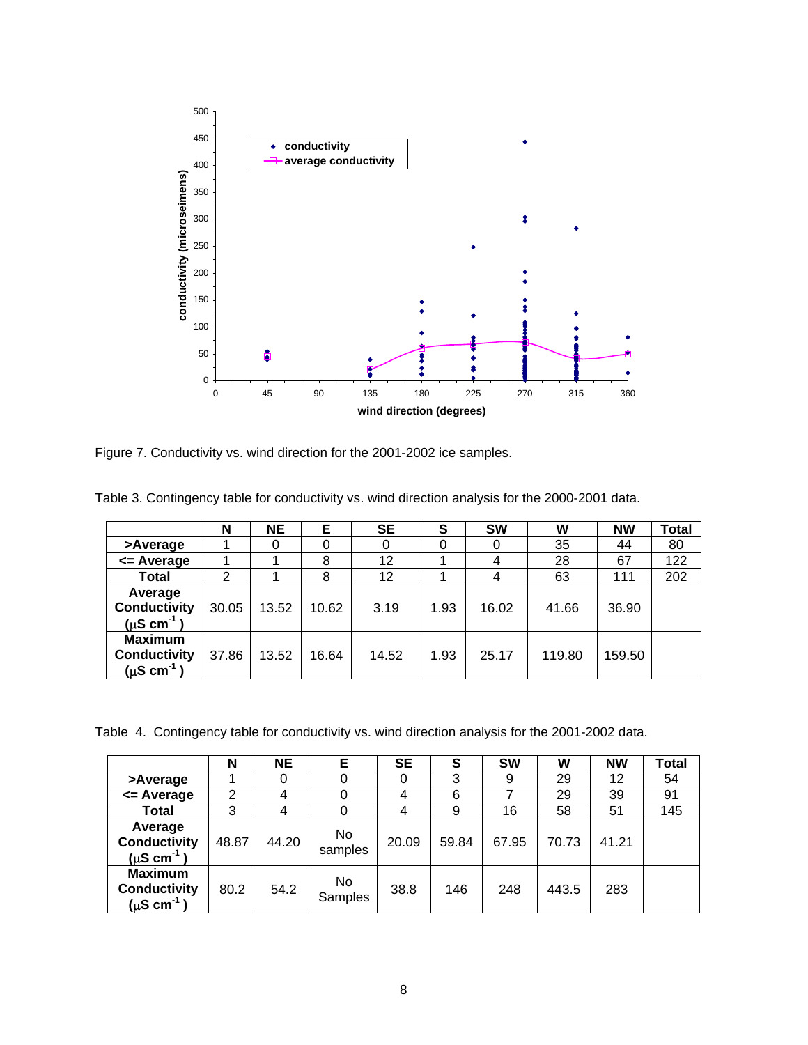

Figure 7. Conductivity vs. wind direction for the 2001-2002 ice samples.

|                                                                    | N     | <b>NE</b> | Е     | <b>SE</b> | S    | <b>SW</b> | W      | <b>NW</b> | Total |
|--------------------------------------------------------------------|-------|-----------|-------|-----------|------|-----------|--------|-----------|-------|
| >Average                                                           |       |           |       |           | 0    | 0         | 35     | 44        | 80    |
| <= Average                                                         |       |           | 8     | 12        |      |           | 28     | 67        | 122   |
| <b>Total</b>                                                       | っ     |           | 8     | 12        |      |           | 63     | 111       | 202   |
| Average<br><b>Conductivity</b><br>$(\mu S \text{ cm}^{-1})$        | 30.05 | 13.52     | 10.62 | 3.19      | 1.93 | 16.02     | 41.66  | 36.90     |       |
| <b>Maximum</b><br><b>Conductivity</b><br>$(\mu S \text{ cm}^{-1})$ | 37.86 | 13.52     | 16.64 | 14.52     | 1.93 | 25.17     | 119.80 | 159.50    |       |

Table 3. Contingency table for conductivity vs. wind direction analysis for the 2000-2001 data.

Table 4. Contingency table for conductivity vs. wind direction analysis for the 2001-2002 data.

|                                                                    | N     | <b>NE</b> | Е              | SE    | S     | <b>SW</b> | W     | <b>NW</b> | <b>Total</b> |
|--------------------------------------------------------------------|-------|-----------|----------------|-------|-------|-----------|-------|-----------|--------------|
| >Average                                                           |       |           |                |       | 3     | 9         | 29    | 12        | 54           |
| <= Average                                                         | 2     | 4         |                |       | 6     |           | 29    | 39        | 91           |
| Total                                                              | 3     | 4         |                |       | 9     | 16        | 58    | 51        | 145          |
| Average<br><b>Conductivity</b><br>$(\mu S \text{ cm}^{-1})$        | 48.87 | 44.20     | No<br>samples  | 20.09 | 59.84 | 67.95     | 70.73 | 41.21     |              |
| <b>Maximum</b><br><b>Conductivity</b><br>$(\mu S \text{ cm}^{-1})$ | 80.2  | 54.2      | No.<br>Samples | 38.8  | 146   | 248       | 443.5 | 283       |              |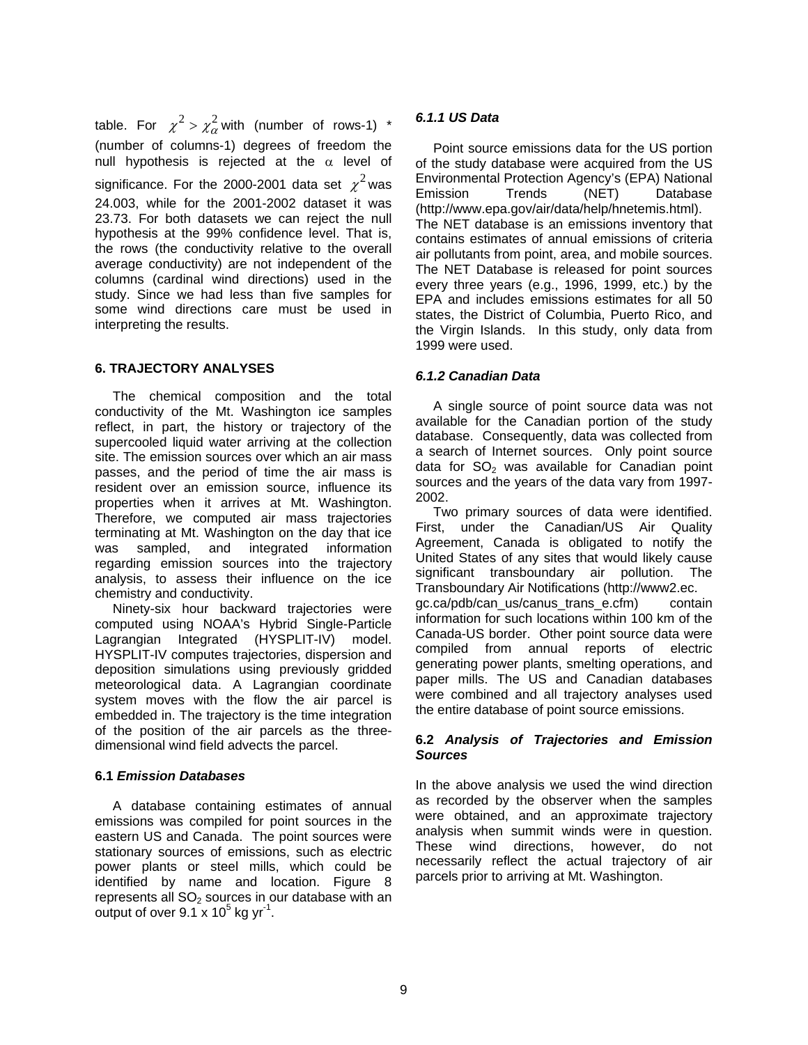table. For  $\chi^2 > \chi^2_{\alpha}$  with (number of rows-1) \* (number of columns-1) degrees of freedom the null hypothesis is rejected at the  $\alpha$  level of significance. For the 2000-2001 data set  $\chi^2$  was 24.003, while for the 2001-2002 dataset it was 23.73. For both datasets we can reject the null hypothesis at the 99% confidence level. That is, the rows (the conductivity relative to the overall average conductivity) are not independent of the columns (cardinal wind directions) used in the study. Since we had less than five samples for some wind directions care must be used in interpreting the results.

## **6. TRAJECTORY ANALYSES**

The chemical composition and the total conductivity of the Mt. Washington ice samples reflect, in part, the history or trajectory of the supercooled liquid water arriving at the collection site. The emission sources over which an air mass passes, and the period of time the air mass is resident over an emission source, influence its properties when it arrives at Mt. Washington. Therefore, we computed air mass trajectories terminating at Mt. Washington on the day that ice was sampled, and integrated information regarding emission sources into the trajectory analysis, to assess their influence on the ice chemistry and conductivity.

Ninety-six hour backward trajectories were computed using NOAA's Hybrid Single-Particle Lagrangian Integrated (HYSPLIT-IV) model. HYSPLIT-IV computes trajectories, dispersion and deposition simulations using previously gridded meteorological data. A Lagrangian coordinate system moves with the flow the air parcel is embedded in. The trajectory is the time integration of the position of the air parcels as the threedimensional wind field advects the parcel.

### **6.1** *Emission Databases*

A database containing estimates of annual emissions was compiled for point sources in the eastern US and Canada. The point sources were stationary sources of emissions, such as electric power plants or steel mills, which could be identified by name and location. Figure 8 represents all  $SO<sub>2</sub>$  sources in our database with an output of over  $9.1$  x  $10^5$  kg yr<sup>-1</sup>.

## *6.1.1 US Data*

Point source emissions data for the US portion of the study database were acquired from the US Environmental Protection Agency's (EPA) National Emission Trends (NET) Database (http://www.epa.gov/air/data/help/hnetemis.html). The NET database is an emissions inventory that contains estimates of annual emissions of criteria air pollutants from point, area, and mobile sources. The NET Database is released for point sources every three years (e.g., 1996, 1999, etc.) by the EPA and includes emissions estimates for all 50 states, the District of Columbia, Puerto Rico, and the Virgin Islands. In this study, only data from 1999 were used.

## *6.1.2 Canadian Data*

A single source of point source data was not available for the Canadian portion of the study database. Consequently, data was collected from a search of Internet sources. Only point source data for  $SO<sub>2</sub>$  was available for Canadian point sources and the years of the data vary from 1997- 2002.

Two primary sources of data were identified. First, under the Canadian/US Air Quality Agreement, Canada is obligated to notify the United States of any sites that would likely cause significant transboundary air pollution. The Transboundary Air Notifications (http://www2.ec. gc.ca/pdb/can\_us/canus\_trans\_e.cfm) contain information for such locations within 100 km of the Canada-US border. Other point source data were compiled from annual reports of electric generating power plants, smelting operations, and paper mills. The US and Canadian databases were combined and all trajectory analyses used the entire database of point source emissions.

## **6.2** *Analysis of Trajectories and Emission Sources*

In the above analysis we used the wind direction as recorded by the observer when the samples were obtained, and an approximate trajectory analysis when summit winds were in question. These wind directions, however, do not necessarily reflect the actual trajectory of air parcels prior to arriving at Mt. Washington.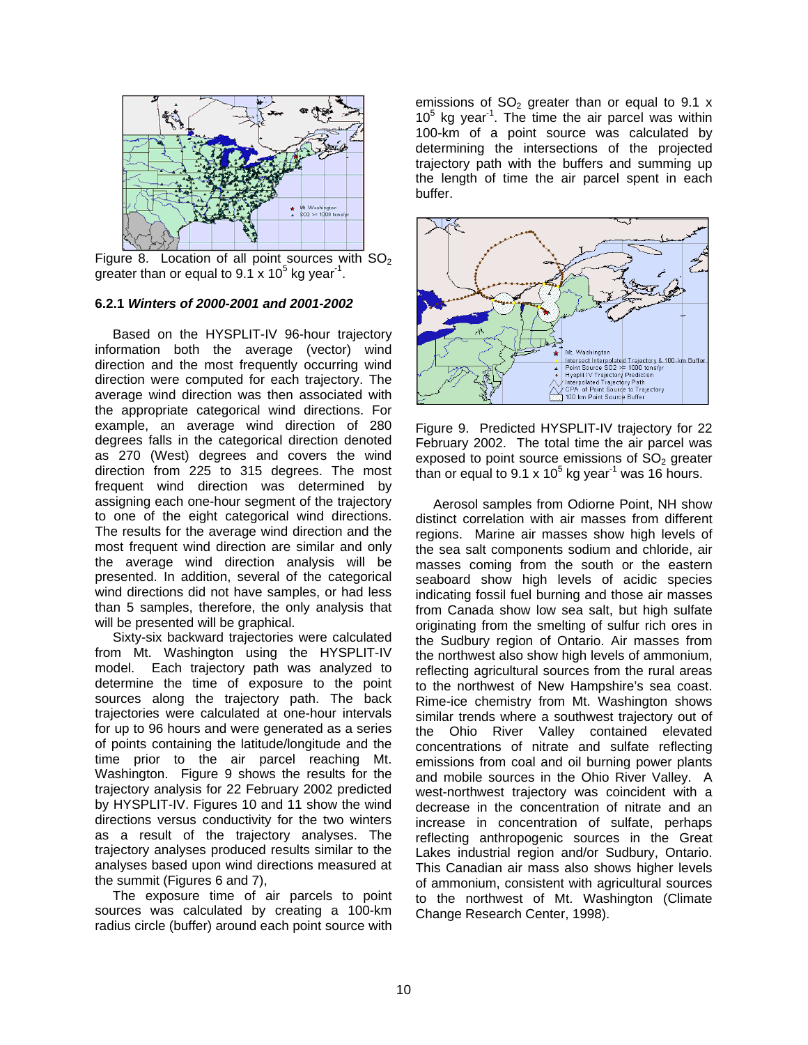

Figure 8. Location of all point sources with  $SO<sub>2</sub>$ greater than or equal to  $9.1 \times 10^5$  kg year<sup>-1</sup>.

### **6.2.1** *Winters of 2000-2001 and 2001-2002*

Based on the HYSPLIT-IV 96-hour trajectory information both the average (vector) wind direction and the most frequently occurring wind direction were computed for each trajectory. The average wind direction was then associated with the appropriate categorical wind directions. For example, an average wind direction of 280 degrees falls in the categorical direction denoted as 270 (West) degrees and covers the wind direction from 225 to 315 degrees. The most frequent wind direction was determined by assigning each one-hour segment of the trajectory to one of the eight categorical wind directions. The results for the average wind direction and the most frequent wind direction are similar and only the average wind direction analysis will be presented. In addition, several of the categorical wind directions did not have samples, or had less than 5 samples, therefore, the only analysis that will be presented will be graphical.

Sixty-six backward trajectories were calculated from Mt. Washington using the HYSPLIT-IV model. Each trajectory path was analyzed to determine the time of exposure to the point sources along the trajectory path. The back trajectories were calculated at one-hour intervals for up to 96 hours and were generated as a series of points containing the latitude/longitude and the time prior to the air parcel reaching Mt. Washington. Figure 9 shows the results for the trajectory analysis for 22 February 2002 predicted by HYSPLIT-IV. Figures 10 and 11 show the wind directions versus conductivity for the two winters as a result of the trajectory analyses. The trajectory analyses produced results similar to the analyses based upon wind directions measured at the summit (Figures 6 and 7),

The exposure time of air parcels to point sources was calculated by creating a 100-km radius circle (buffer) around each point source with

emissions of  $SO<sub>2</sub>$  greater than or equal to 9.1 x  $10<sup>5</sup>$  kg year<sup>1</sup>. The time the air parcel was within 100-km of a point source was calculated by determining the intersections of the projected trajectory path with the buffers and summing up the length of time the air parcel spent in each buffer.



Figure 9. Predicted HYSPLIT-IV trajectory for 22 February 2002. The total time the air parcel was exposed to point source emissions of  $SO<sub>2</sub>$  greater than or equal to 9.1 x  $10^5$  kg year<sup>-1</sup> was 16 hours.

Aerosol samples from Odiorne Point, NH show distinct correlation with air masses from different regions. Marine air masses show high levels of the sea salt components sodium and chloride, air masses coming from the south or the eastern seaboard show high levels of acidic species indicating fossil fuel burning and those air masses from Canada show low sea salt, but high sulfate originating from the smelting of sulfur rich ores in the Sudbury region of Ontario. Air masses from the northwest also show high levels of ammonium, reflecting agricultural sources from the rural areas to the northwest of New Hampshire's sea coast. Rime-ice chemistry from Mt. Washington shows similar trends where a southwest trajectory out of the Ohio River Valley contained elevated concentrations of nitrate and sulfate reflecting emissions from coal and oil burning power plants and mobile sources in the Ohio River Valley. A west-northwest trajectory was coincident with a decrease in the concentration of nitrate and an increase in concentration of sulfate, perhaps reflecting anthropogenic sources in the Great Lakes industrial region and/or Sudbury, Ontario. This Canadian air mass also shows higher levels of ammonium, consistent with agricultural sources to the northwest of Mt. Washington (Climate Change Research Center, 1998).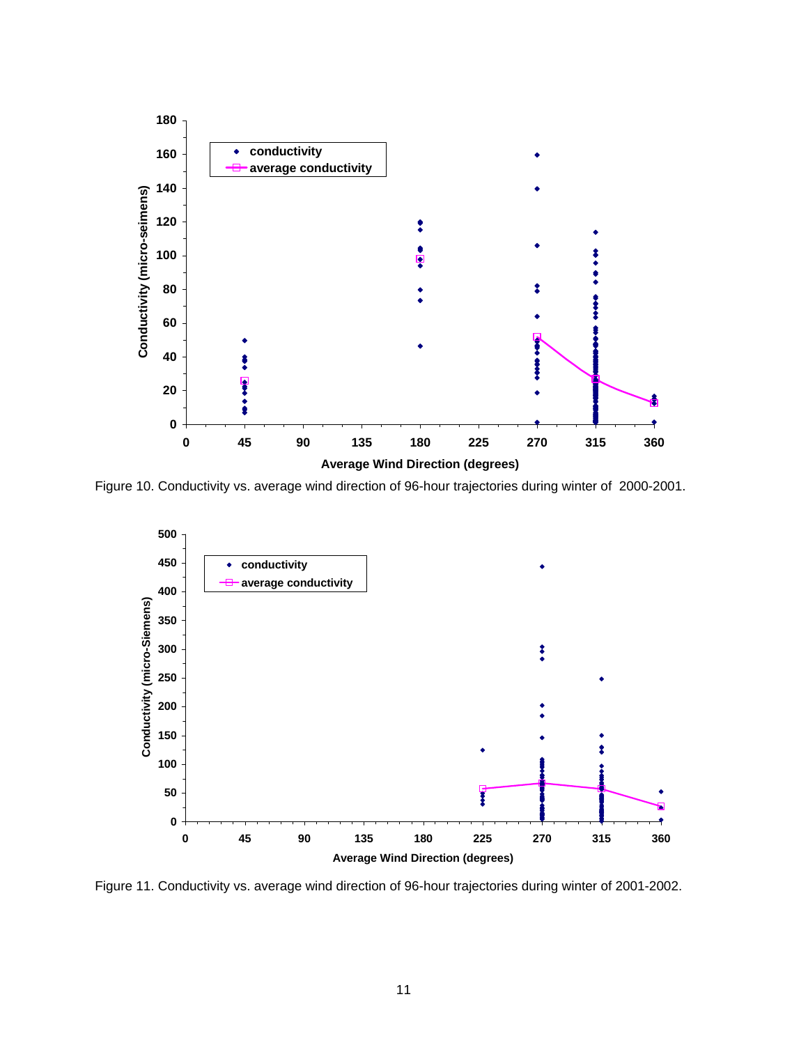

Figure 10. Conductivity vs. average wind direction of 96-hour trajectories during winter of 2000-2001.



Figure 11. Conductivity vs. average wind direction of 96-hour trajectories during winter of 2001-2002.